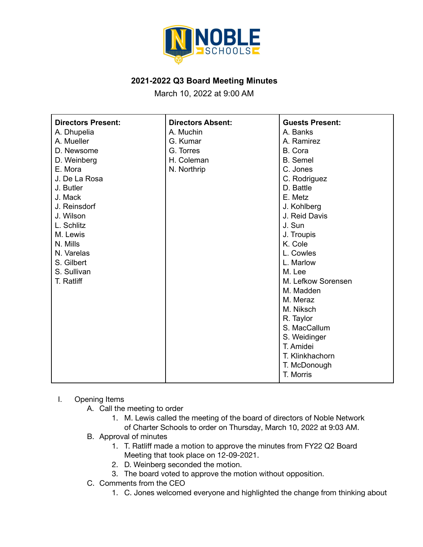

## **2021-2022 Q3 Board Meeting Minutes**

March 10, 2022 at 9:00 AM

| <b>Directors Present:</b> | <b>Directors Absent:</b> | <b>Guests Present:</b> |
|---------------------------|--------------------------|------------------------|
| A. Dhupelia               | A. Muchin                | A. Banks               |
| A. Mueller                | G. Kumar                 | A. Ramirez             |
| D. Newsome                | G. Torres                | B. Cora                |
| D. Weinberg               | H. Coleman               | <b>B.</b> Semel        |
| E. Mora                   | N. Northrip              | C. Jones               |
| J. De La Rosa             |                          | C. Rodriguez           |
| J. Butler                 |                          | D. Battle              |
| J. Mack                   |                          | E. Metz                |
| J. Reinsdorf              |                          | J. Kohlberg            |
| J. Wilson                 |                          | J. Reid Davis          |
| L. Schlitz                |                          | J. Sun                 |
| M. Lewis                  |                          | J. Troupis             |
| N. Mills                  |                          | K. Cole                |
| N. Varelas                |                          | L. Cowles              |
| S. Gilbert                |                          | L. Marlow              |
| S. Sullivan               |                          | M. Lee                 |
| T. Ratliff                |                          | M. Lefkow Sorensen     |
|                           |                          | M. Madden              |
|                           |                          | M. Meraz               |
|                           |                          | M. Niksch              |
|                           |                          | R. Taylor              |
|                           |                          | S. MacCallum           |
|                           |                          | S. Weidinger           |
|                           |                          | T. Amidei              |
|                           |                          | T. Klinkhachorn        |
|                           |                          | T. McDonough           |
|                           |                          | T. Morris              |

## I. Opening Items

- A. Call the meeting to order
	- 1. M. Lewis called the meeting of the board of directors of Noble Network of Charter Schools to order on Thursday, March 10, 2022 at 9:03 AM.
- B. Approval of minutes
	- 1. T. Ratliff made a motion to approve the minutes from FY22 Q2 Board Meeting that took place on 12-09-2021.
	- 2. D. Weinberg seconded the motion.
	- 3. The board voted to approve the motion without opposition.
- C. Comments from the CEO
	- 1. C. Jones welcomed everyone and highlighted the change from thinking about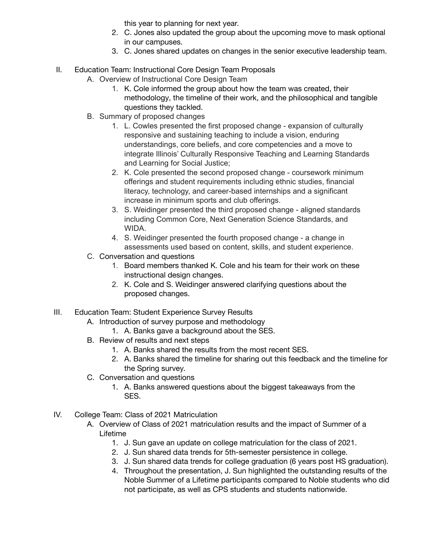this year to planning for next year.

- 2. C. Jones also updated the group about the upcoming move to mask optional in our campuses.
- 3. C. Jones shared updates on changes in the senior executive leadership team.
- II. Education Team: Instructional Core Design Team Proposals
	- A. Overview of Instructional Core Design Team
		- 1. K. Cole informed the group about how the team was created, their methodology, the timeline of their work, and the philosophical and tangible questions they tackled.
		- B. Summary of proposed changes
			- 1. L. Cowles presented the first proposed change expansion of culturally responsive and sustaining teaching to include a vision, enduring understandings, core beliefs, and core competencies and a move to integrate Illinois' Culturally Responsive Teaching and Learning Standards and Learning for Social Justice;
			- 2. K. Cole presented the second proposed change coursework minimum offerings and student requirements including ethnic studies, financial literacy, technology, and career-based internships and a significant increase in minimum sports and club offerings.
			- 3. S. Weidinger presented the third proposed change aligned standards including Common Core, Next Generation Science Standards, and WIDA.
			- 4. S. Weidinger presented the fourth proposed change a change in assessments used based on content, skills, and student experience.
		- C. Conversation and questions
			- 1. Board members thanked K. Cole and his team for their work on these instructional design changes.
			- 2. K. Cole and S. Weidinger answered clarifying questions about the proposed changes.
- III. Education Team: Student Experience Survey Results
	- A. Introduction of survey purpose and methodology
		- 1. A. Banks gave a background about the SES.
	- B. Review of results and next steps
		- 1. A. Banks shared the results from the most recent SES.
		- 2. A. Banks shared the timeline for sharing out this feedback and the timeline for the Spring survey.
	- C. Conversation and questions
		- 1. A. Banks answered questions about the biggest takeaways from the SES.
- IV. College Team: Class of 2021 Matriculation
	- A. Overview of Class of 2021 matriculation results and the impact of Summer of a Lifetime
		- 1. J. Sun gave an update on college matriculation for the class of 2021.
		- 2. J. Sun shared data trends for 5th-semester persistence in college.
		- 3. J. Sun shared data trends for college graduation (6 years post HS graduation).
		- 4. Throughout the presentation, J. Sun highlighted the outstanding results of the Noble Summer of a Lifetime participants compared to Noble students who did not participate, as well as CPS students and students nationwide.